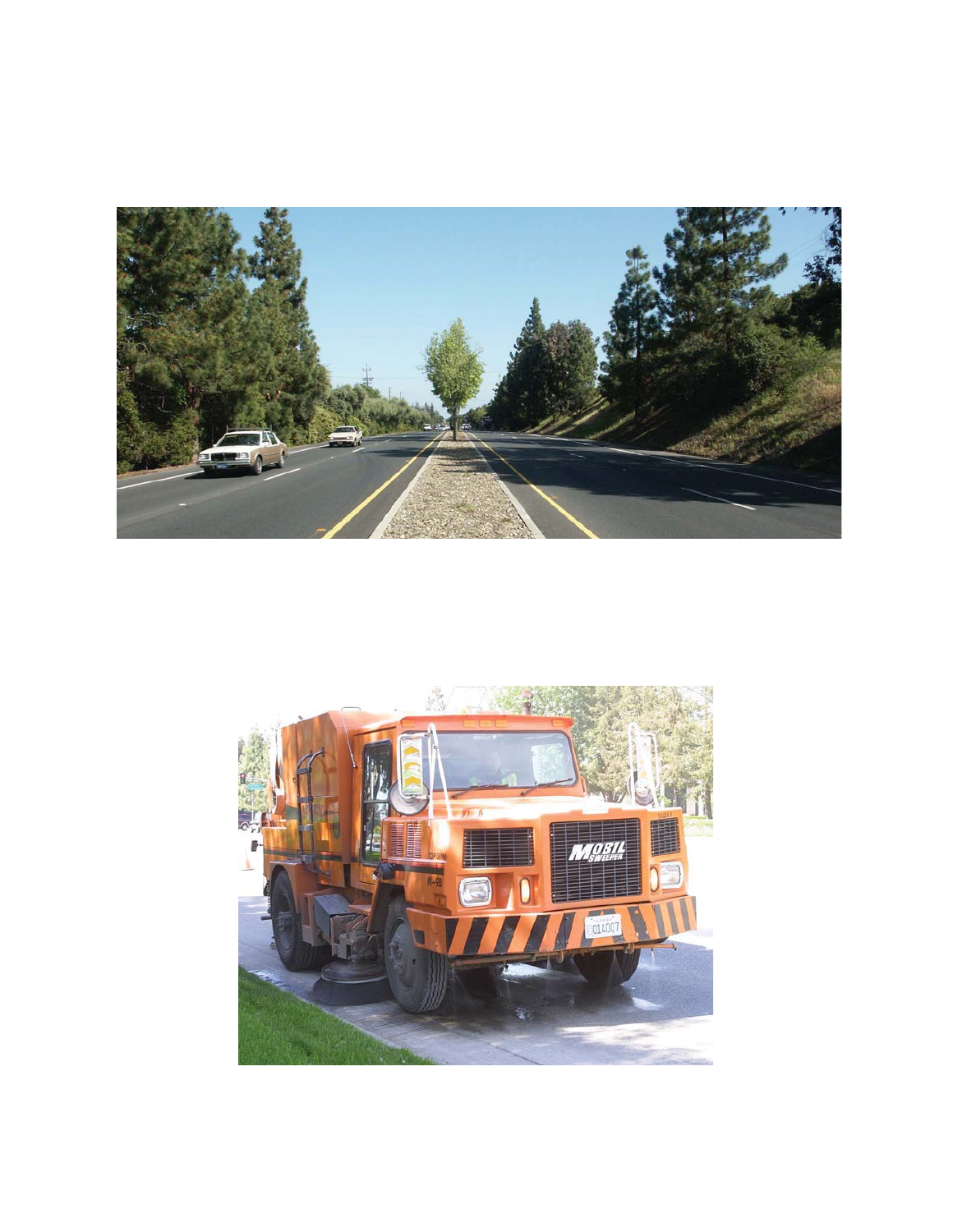

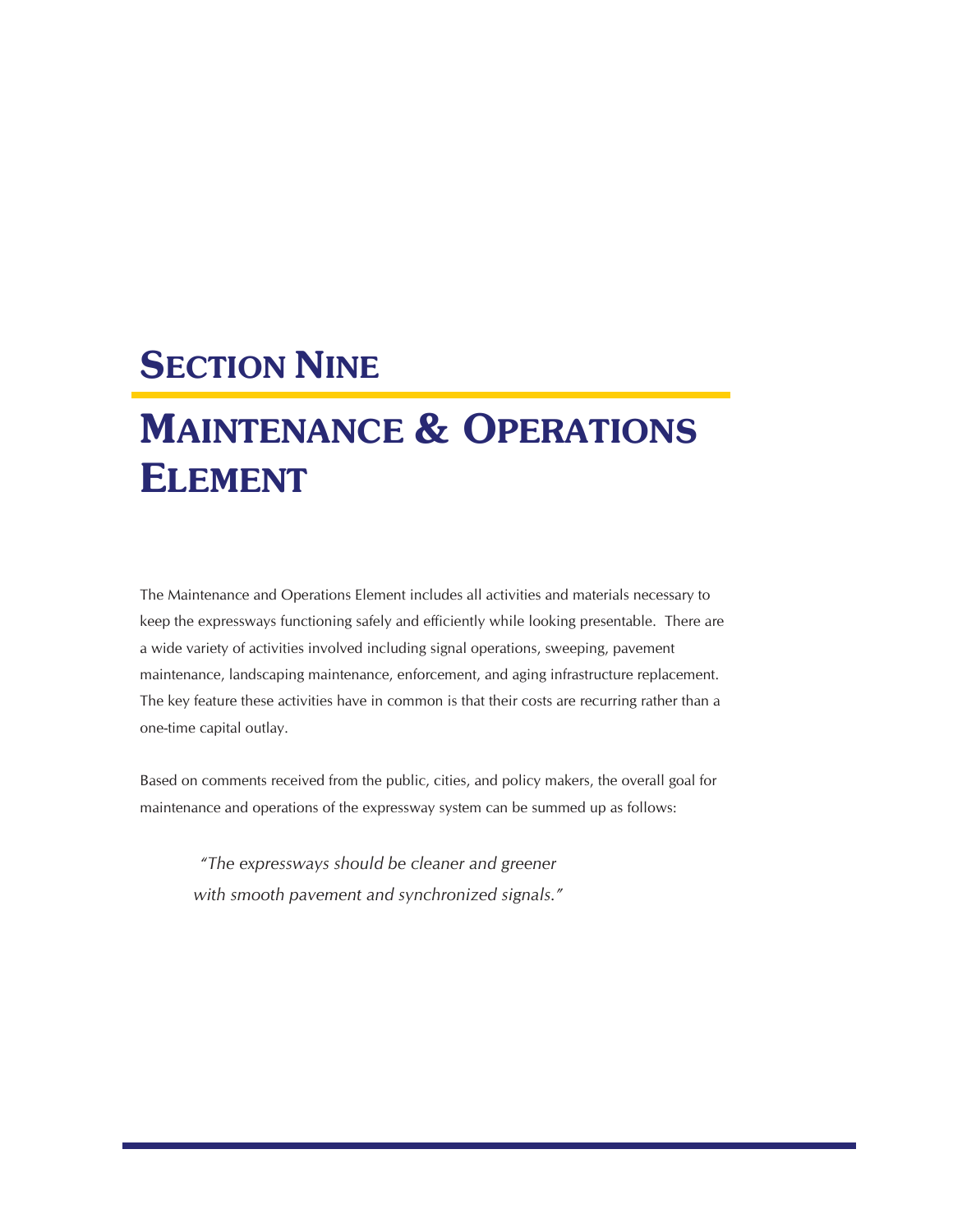## **SECTION NINE**

# **MAINTENANCE & OPERATIONS** ELEMENT

The Maintenance and Operations Element includes all activities and materials necessary to keep the expressways functioning safely and efficiently while looking presentable. There are a wide variety of activities involved including signal operations, sweeping, pavement maintenance, landscaping maintenance, enforcement, and aging infrastructure replacement. The key feature these activities have in common is that their costs are recurring rather than a one-time capital outlay.

Based on comments received from the public, cities, and policy makers, the overall goal for maintenance and operations of the expressway system can be summed up as follows:

*"The expressways should be cleaner and greener with smooth pavement and synchronized signals."*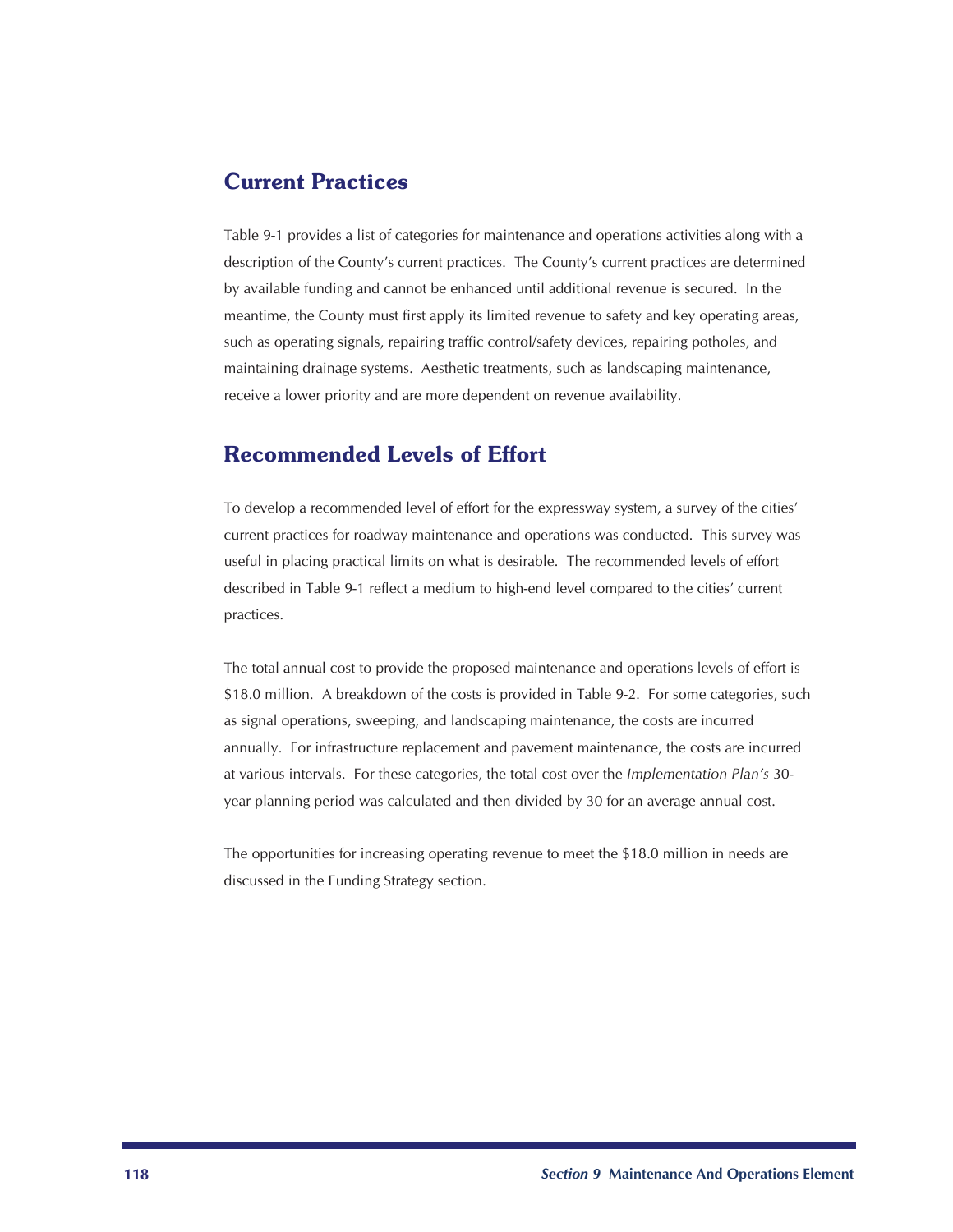### Current Practices

Table 9-1 provides a list of categories for maintenance and operations activities along with a description of the County's current practices. The County's current practices are determined by available funding and cannot be enhanced until additional revenue is secured. In the meantime, the County must first apply its limited revenue to safety and key operating areas, such as operating signals, repairing traffic control/safety devices, repairing potholes, and maintaining drainage systems. Aesthetic treatments, such as landscaping maintenance, receive a lower priority and are more dependent on revenue availability.

### Recommended Levels of Effort

To develop a recommended level of effort for the expressway system, a survey of the cities' current practices for roadway maintenance and operations was conducted. This survey was useful in placing practical limits on what is desirable. The recommended levels of effort described in Table 9-1 reflect a medium to high-end level compared to the cities' current practices.

The total annual cost to provide the proposed maintenance and operations levels of effort is \$18.0 million. A breakdown of the costs is provided in Table 9-2. For some categories, such as signal operations, sweeping, and landscaping maintenance, the costs are incurred annually. For infrastructure replacement and pavement maintenance, the costs are incurred at various intervals. For these categories, the total cost over the *Implementation Plan's* 30 year planning period was calculated and then divided by 30 for an average annual cost.

The opportunities for increasing operating revenue to meet the \$18.0 million in needs are discussed in the Funding Strategy section.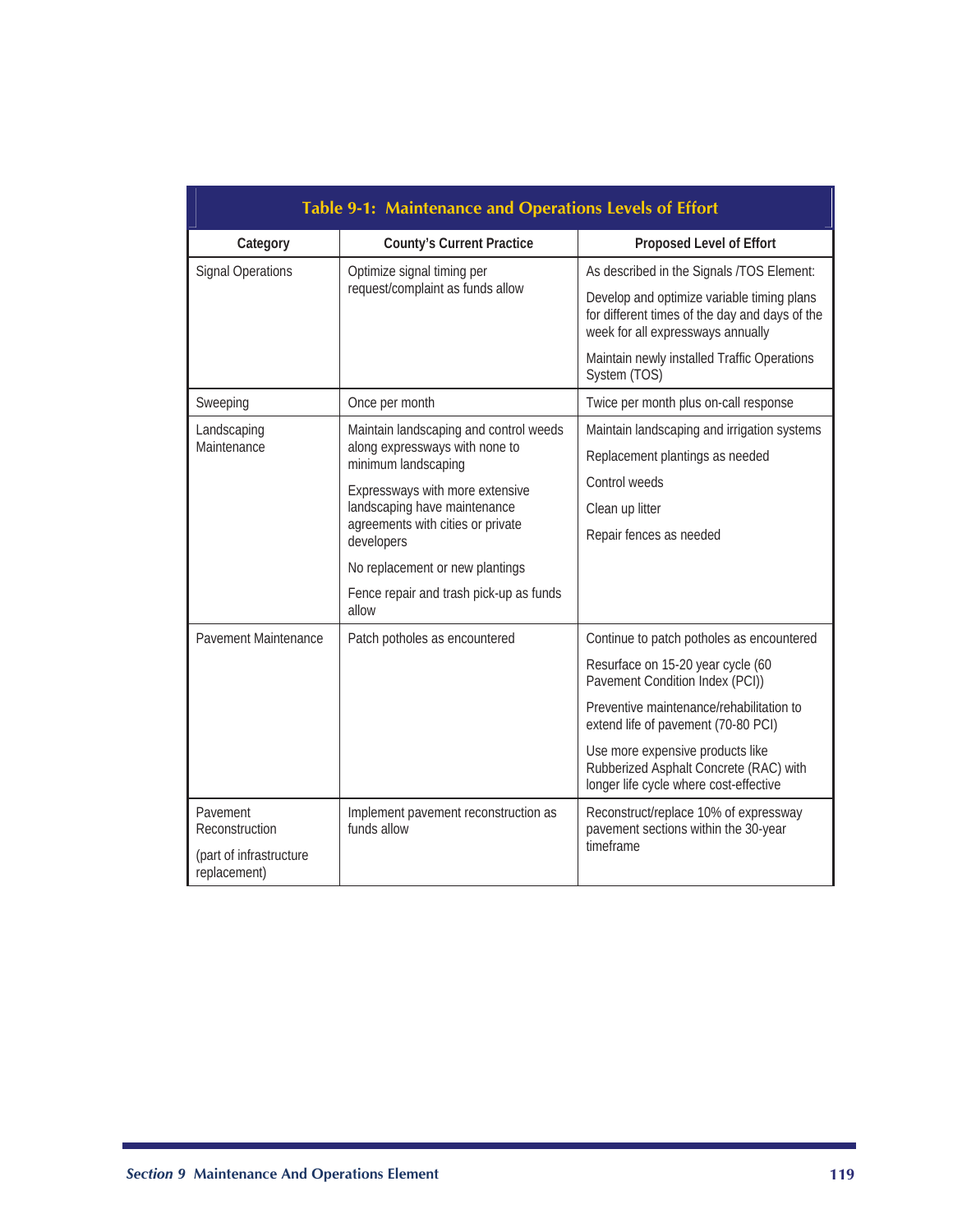| Table 9-1: Maintenance and Operations Levels of Effort |                                                                                                                    |                                                                                                                                   |  |  |
|--------------------------------------------------------|--------------------------------------------------------------------------------------------------------------------|-----------------------------------------------------------------------------------------------------------------------------------|--|--|
| Category                                               | <b>County's Current Practice</b>                                                                                   | Proposed Level of Effort                                                                                                          |  |  |
| <b>Signal Operations</b>                               | Optimize signal timing per<br>request/complaint as funds allow                                                     | As described in the Signals /TOS Element:                                                                                         |  |  |
|                                                        |                                                                                                                    | Develop and optimize variable timing plans<br>for different times of the day and days of the<br>week for all expressways annually |  |  |
|                                                        |                                                                                                                    | Maintain newly installed Traffic Operations<br>System (TOS)                                                                       |  |  |
| Sweeping                                               | Once per month                                                                                                     | Twice per month plus on-call response                                                                                             |  |  |
| Landscaping<br>Maintenance                             | Maintain landscaping and control weeds<br>along expressways with none to<br>minimum landscaping                    | Maintain landscaping and irrigation systems                                                                                       |  |  |
|                                                        |                                                                                                                    | Replacement plantings as needed                                                                                                   |  |  |
|                                                        | Expressways with more extensive<br>landscaping have maintenance<br>agreements with cities or private<br>developers | Control weeds                                                                                                                     |  |  |
|                                                        |                                                                                                                    | Clean up litter                                                                                                                   |  |  |
|                                                        |                                                                                                                    | Repair fences as needed                                                                                                           |  |  |
|                                                        | No replacement or new plantings                                                                                    |                                                                                                                                   |  |  |
|                                                        | Fence repair and trash pick-up as funds<br>allow                                                                   |                                                                                                                                   |  |  |
| <b>Pavement Maintenance</b>                            | Patch potholes as encountered                                                                                      | Continue to patch potholes as encountered                                                                                         |  |  |
|                                                        |                                                                                                                    | Resurface on 15-20 year cycle (60<br>Pavement Condition Index (PCI))                                                              |  |  |
|                                                        |                                                                                                                    | Preventive maintenance/rehabilitation to<br>extend life of pavement (70-80 PCI)                                                   |  |  |
|                                                        |                                                                                                                    | Use more expensive products like<br>Rubberized Asphalt Concrete (RAC) with<br>longer life cycle where cost-effective              |  |  |
| Pavement<br>Reconstruction                             | Implement pavement reconstruction as<br>funds allow                                                                | Reconstruct/replace 10% of expressway<br>pavement sections within the 30-year                                                     |  |  |
| (part of infrastructure<br>replacement)                |                                                                                                                    | timeframe                                                                                                                         |  |  |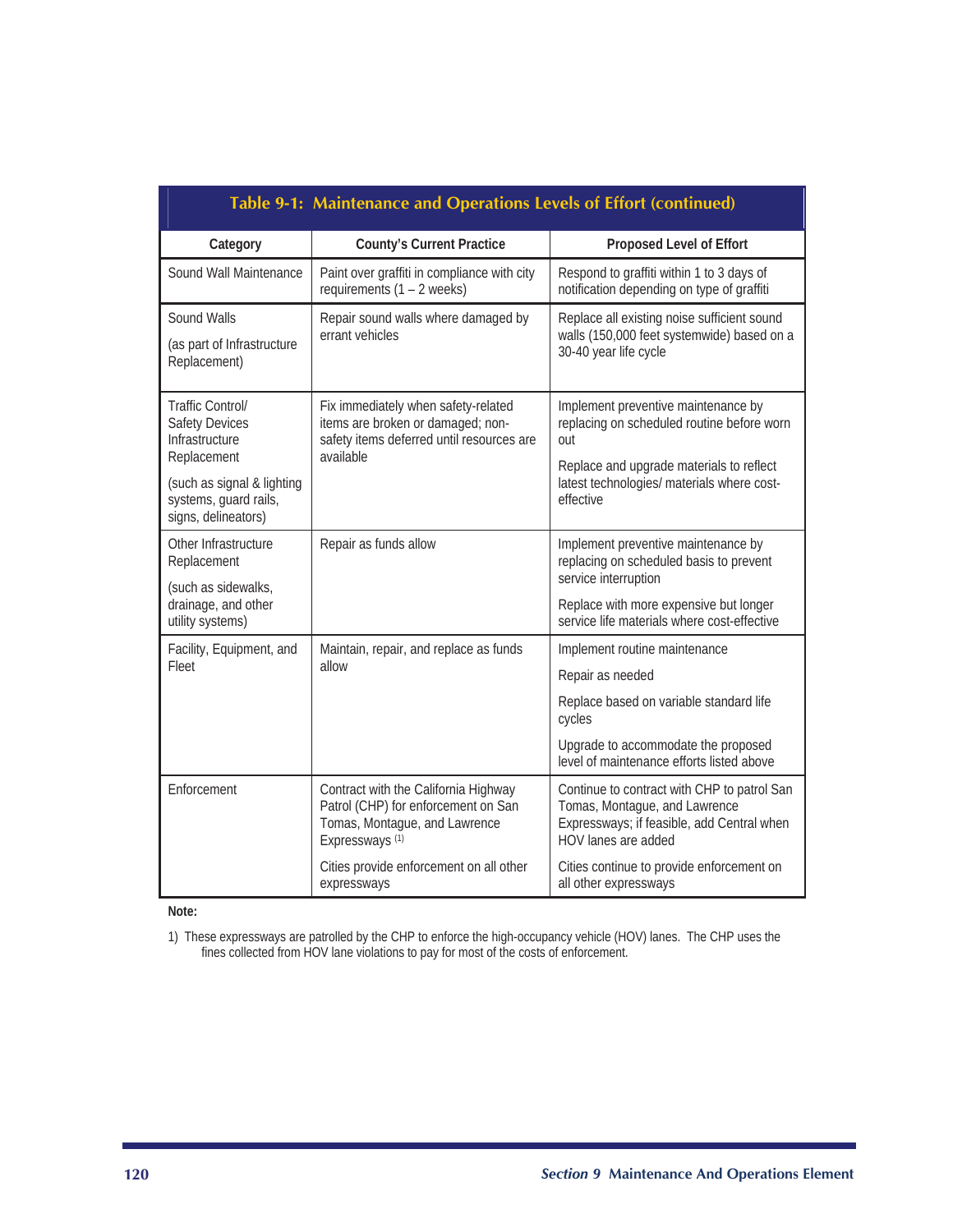| Table 9-1: Maintenance and Operations Levels of Effort (continued)                                                                                       |                                                                                                                                                                                           |                                                                                                                                                                                                                         |  |
|----------------------------------------------------------------------------------------------------------------------------------------------------------|-------------------------------------------------------------------------------------------------------------------------------------------------------------------------------------------|-------------------------------------------------------------------------------------------------------------------------------------------------------------------------------------------------------------------------|--|
| Category                                                                                                                                                 | <b>County's Current Practice</b>                                                                                                                                                          | Proposed Level of Effort                                                                                                                                                                                                |  |
| Sound Wall Maintenance                                                                                                                                   | Paint over graffiti in compliance with city<br>requirements $(1 – 2$ weeks)                                                                                                               | Respond to graffiti within 1 to 3 days of<br>notification depending on type of graffiti                                                                                                                                 |  |
| Sound Walls<br>(as part of Infrastructure<br>Replacement)                                                                                                | Repair sound walls where damaged by<br>errant vehicles                                                                                                                                    | Replace all existing noise sufficient sound<br>walls (150,000 feet systemwide) based on a<br>30-40 year life cycle                                                                                                      |  |
| Traffic Control/<br><b>Safety Devices</b><br>Infrastructure<br>Replacement<br>(such as signal & lighting<br>systems, guard rails,<br>signs, delineators) | Fix immediately when safety-related<br>items are broken or damaged; non-<br>safety items deferred until resources are<br>available                                                        | Implement preventive maintenance by<br>replacing on scheduled routine before worn<br>out<br>Replace and upgrade materials to reflect<br>latest technologies/ materials where cost-<br>effective                         |  |
| Other Infrastructure<br>Replacement<br>(such as sidewalks,<br>drainage, and other<br>utility systems)                                                    | Repair as funds allow                                                                                                                                                                     | Implement preventive maintenance by<br>replacing on scheduled basis to prevent<br>service interruption<br>Replace with more expensive but longer<br>service life materials where cost-effective                         |  |
| Facility, Equipment, and<br>Fleet                                                                                                                        | Maintain, repair, and replace as funds<br>allow                                                                                                                                           | Implement routine maintenance<br>Repair as needed<br>Replace based on variable standard life<br>cycles<br>Upgrade to accommodate the proposed<br>level of maintenance efforts listed above                              |  |
| Enforcement                                                                                                                                              | Contract with the California Highway<br>Patrol (CHP) for enforcement on San<br>Tomas, Montague, and Lawrence<br>Expressways (1)<br>Cities provide enforcement on all other<br>expressways | Continue to contract with CHP to patrol San<br>Tomas, Montague, and Lawrence<br>Expressways; if feasible, add Central when<br>HOV lanes are added<br>Cities continue to provide enforcement on<br>all other expressways |  |

**Note:** 

1) These expressways are patrolled by the CHP to enforce the high-occupancy vehicle (HOV) lanes. The CHP uses the fines collected from HOV lane violations to pay for most of the costs of enforcement.